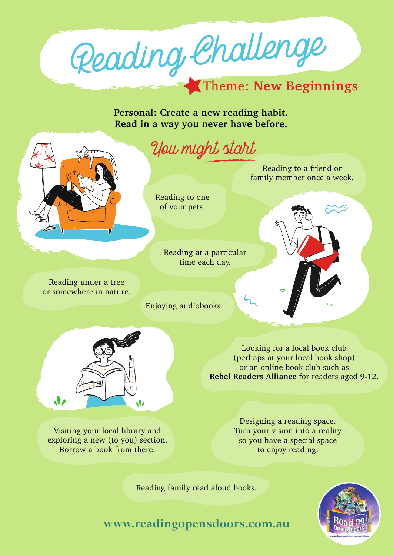Reading Challenge

### Theme: **New Beginnings**

**Personal: Create a new reading habit. Read in a way you never have before.**



## You might start

Reading to a friend or family member once a week.

Reading to one of your pets.

> Reading at a particular time each day.

Reading under a tree or somewhere in nature.

Enjoying audiobooks.





Looking for a local book club (perhaps at your local book shop) or an online book club such as **[Rebel Readers Alliance](https://rebelreaders.com.au/)** for readers aged 9-12.

Visiting your local library and exploring a new (to you) section. Borrow a book from there.

Designing a reading space. Turn your vision into a reality so you have a special space to enjoy reading.

Reading family read aloud books.



**www.readingopensdoors.com.au**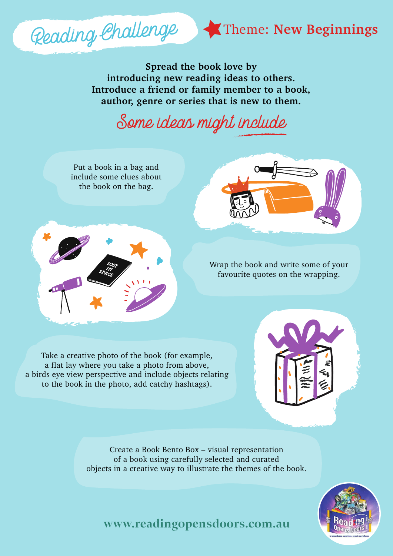

**Spread the book love by introducing new reading ideas to others. Introduce a friend or family member to a book, author, genre or series that is new to them.**

# Some ideas might include



Create a Book Bento Box – visual representation of a book using carefully selected and curated objects in a creative way to illustrate the themes of the book.



**www.readingopensdoors.com.au**